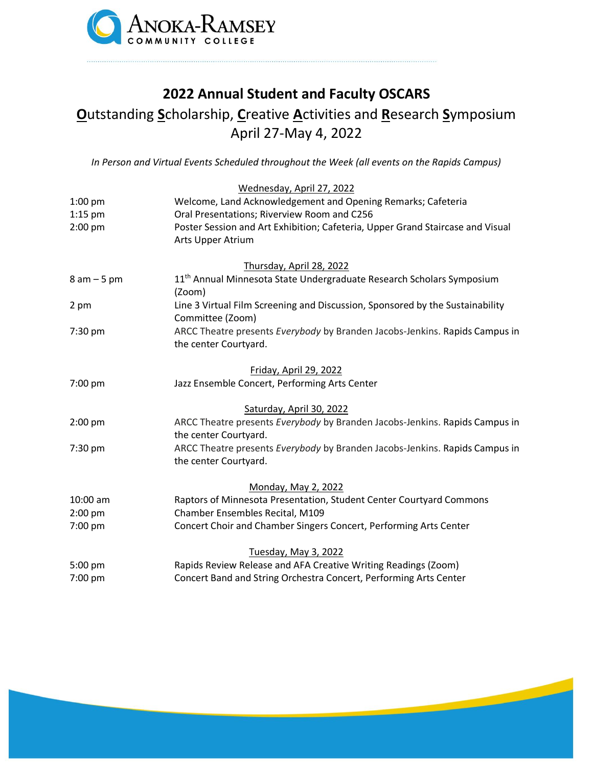

# **2022 Annual Student and Faculty OSCARS**

# **O**utstanding **S**cholarship, **C**reative **A**ctivities and **R**esearch **S**ymposium April 27-May 4, 2022

*In Person and Virtual Events Scheduled throughout the Week (all events on the Rapids Campus)*

|               | Wednesday, April 27, 2022                                                         |
|---------------|-----------------------------------------------------------------------------------|
| $1:00$ pm     | Welcome, Land Acknowledgement and Opening Remarks; Cafeteria                      |
| $1:15$ pm     | Oral Presentations; Riverview Room and C256                                       |
| $2:00$ pm     | Poster Session and Art Exhibition; Cafeteria, Upper Grand Staircase and Visual    |
|               | Arts Upper Atrium                                                                 |
|               | Thursday, April 28, 2022                                                          |
| $8 am - 5 pm$ | 11 <sup>th</sup> Annual Minnesota State Undergraduate Research Scholars Symposium |
|               | (Zoom)                                                                            |
| 2 pm          | Line 3 Virtual Film Screening and Discussion, Sponsored by the Sustainability     |
|               | Committee (Zoom)                                                                  |
| 7:30 pm       | ARCC Theatre presents Everybody by Branden Jacobs-Jenkins. Rapids Campus in       |
|               | the center Courtyard.                                                             |
|               | Friday, April 29, 2022                                                            |
| 7:00 pm       | Jazz Ensemble Concert, Performing Arts Center                                     |
|               | Saturday, April 30, 2022                                                          |
| $2:00$ pm     | ARCC Theatre presents Everybody by Branden Jacobs-Jenkins. Rapids Campus in       |
|               | the center Courtyard.                                                             |
| 7:30 pm       | ARCC Theatre presents Everybody by Branden Jacobs-Jenkins. Rapids Campus in       |
|               | the center Courtyard.                                                             |
|               | Monday, May 2, 2022                                                               |
| 10:00 am      | Raptors of Minnesota Presentation, Student Center Courtyard Commons               |
| $2:00$ pm     | Chamber Ensembles Recital, M109                                                   |
| 7:00 pm       | Concert Choir and Chamber Singers Concert, Performing Arts Center                 |
|               | Tuesday, May 3, 2022                                                              |
| 5:00 pm       | Rapids Review Release and AFA Creative Writing Readings (Zoom)                    |
| 7:00 pm       | Concert Band and String Orchestra Concert, Performing Arts Center                 |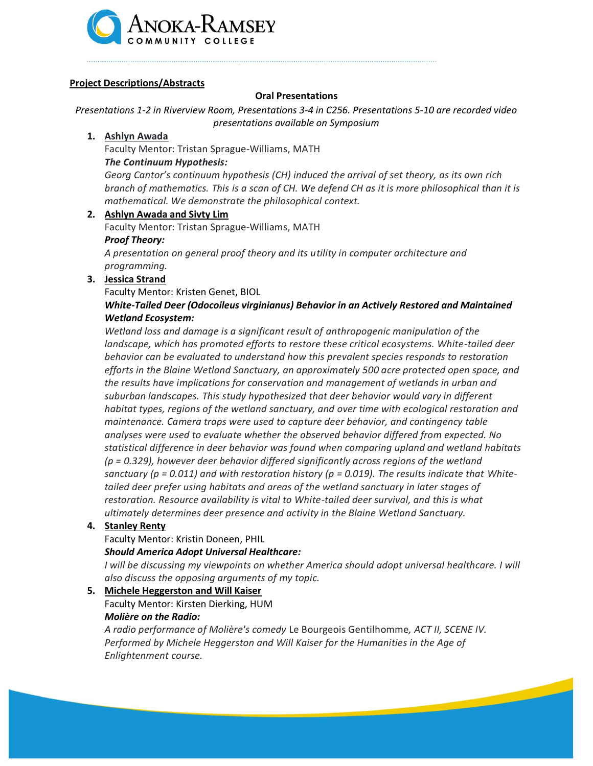

# **Project Descriptions/Abstracts**

# **Oral Presentations**

*Presentations 1-2 in Riverview Room, Presentations 3-4 in C256. Presentations 5-10 are recorded video presentations available on Symposium*

# **1. Ashlyn Awada**

Faculty Mentor: Tristan Sprague-Williams, MATH

# *The Continuum Hypothesis:*

*Georg Cantor's continuum hypothesis (CH) induced the arrival of set theory, as its own rich branch of mathematics. This is a scan of CH. We defend CH as it is more philosophical than it is mathematical. We demonstrate the philosophical context.*

# **2. Ashlyn Awada and Sivty Lim**

Faculty Mentor: Tristan Sprague-Williams, MATH

#### *Proof Theory:*

*A presentation on general proof theory and its utility in computer architecture and programming.*

# **3. Jessica Strand**

Faculty Mentor: Kristen Genet, BIOL

# *White-Tailed Deer (Odocoileus virginianus) Behavior in an Actively Restored and Maintained Wetland Ecosystem:*

*Wetland loss and damage is a significant result of anthropogenic manipulation of the landscape, which has promoted efforts to restore these critical ecosystems. White-tailed deer behavior can be evaluated to understand how this prevalent species responds to restoration efforts in the Blaine Wetland Sanctuary, an approximately 500 acre protected open space, and the results have implications for conservation and management of wetlands in urban and suburban landscapes. This study hypothesized that deer behavior would vary in different habitat types, regions of the wetland sanctuary, and over time with ecological restoration and maintenance. Camera traps were used to capture deer behavior, and contingency table analyses were used to evaluate whether the observed behavior differed from expected. No statistical difference in deer behavior was found when comparing upland and wetland habitats (p = 0.329), however deer behavior differed significantly across regions of the wetland sanctuary (p = 0.011) and with restoration history (p = 0.019). The results indicate that Whitetailed deer prefer using habitats and areas of the wetland sanctuary in later stages of restoration. Resource availability is vital to White-tailed deer survival, and this is what ultimately determines deer presence and activity in the Blaine Wetland Sanctuary.*

# **4. Stanley Renty**

Faculty Mentor: Kristin Doneen, PHIL

# *Should America Adopt Universal Healthcare:*

*I will be discussing my viewpoints on whether America should adopt universal healthcare. I will also discuss the opposing arguments of my topic.*

# **5. Michele Heggerston and Will Kaiser**

Faculty Mentor: Kirsten Dierking, HUM *Molière on the Radio:*

# *A radio performance of Molière's comedy* Le Bourgeois Gentilhomme*, ACT II, SCENE IV. Performed by Michele Heggerston and Will Kaiser for the Humanities in the Age of Enlightenment course.*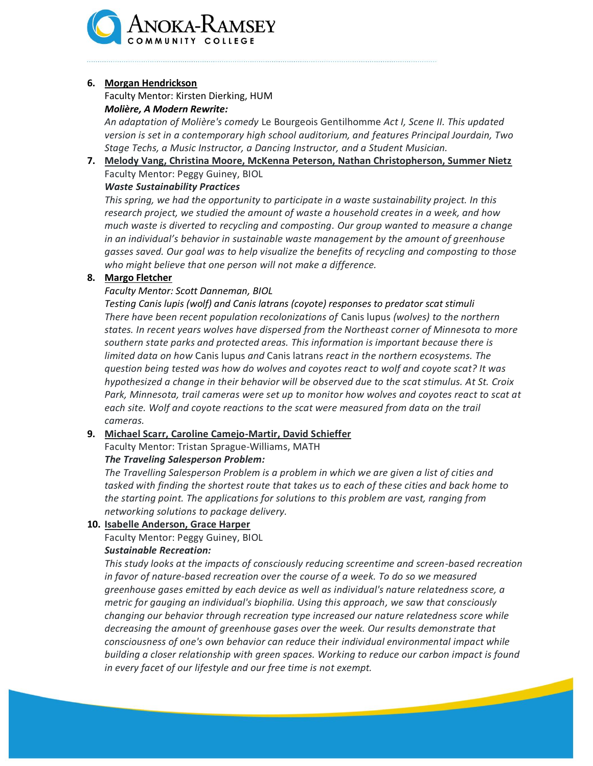

#### **6. Morgan Hendrickson**

Faculty Mentor: Kirsten Dierking, HUM *Molière, A Modern Rewrite:*

*An adaptation of Molière's comedy* Le Bourgeois Gentilhomme *Act I, Scene II. This updated version is set in a contemporary high school auditorium, and features Principal Jourdain, Two Stage Techs, a Music Instructor, a Dancing Instructor, and a Student Musician.*

# **7. Melody Vang, Christina Moore, McKenna Peterson, Nathan Christopherson, Summer Nietz** Faculty Mentor: Peggy Guiney, BIOL

*Waste Sustainability Practices*

*This spring, we had the opportunity to participate in a waste sustainability project. In this research project, we studied the amount of waste a household creates in a week, and how much waste is diverted to recycling and composting. Our group wanted to measure a change in an individual's behavior in sustainable waste management by the amount of greenhouse gasses saved. Our goal was to help visualize the benefits of recycling and composting to those who might believe that one person will not make a difference.*

# **8. Margo Fletcher**

# *Faculty Mentor: Scott Danneman, BIOL*

*Testing Canis lupis (wolf) and Canis latrans (coyote) responses to predator scat stimuli There have been recent population recolonizations of* Canis lupus *(wolves) to the northern states. In recent years wolves have dispersed from the Northeast corner of Minnesota to more southern state parks and protected areas. This information is important because there is limited data on how* Canis lupus *and* Canis latrans *react in the northern ecosystems. The question being tested was how do wolves and coyotes react to wolf and coyote scat? It was hypothesized a change in their behavior will be observed due to the scat stimulus. At St. Croix Park, Minnesota, trail cameras were set up to monitor how wolves and coyotes react to scat at each site. Wolf and coyote reactions to the scat were measured from data on the trail cameras.*

# **9. Michael Scarr, Caroline Camejo-Martir, David Schieffer**

Faculty Mentor: Tristan Sprague-Williams, MATH

# *The Traveling Salesperson Problem:*

*The Travelling Salesperson Problem is a problem in which we are given a list of cities and tasked with finding the shortest route that takes us to each of these cities and back home to the starting point. The applications for solutions to this problem are vast, ranging from networking solutions to package delivery.*

# **10. Isabelle Anderson, Grace Harper**

Faculty Mentor: Peggy Guiney, BIOL

# *Sustainable Recreation:*

*This study looks at the impacts of consciously reducing screentime and screen-based recreation in favor of nature-based recreation over the course of a week. To do so we measured greenhouse gases emitted by each device as well as individual's nature relatedness score, a metric for gauging an individual's biophilia. Using this approach, we saw that consciously changing our behavior through recreation type increased our nature relatedness score while decreasing the amount of greenhouse gases over the week. Our results demonstrate that consciousness of one's own behavior can reduce their individual environmental impact while building a closer relationship with green spaces. Working to reduce our carbon impact is found in every facet of our lifestyle and our free time is not exempt.*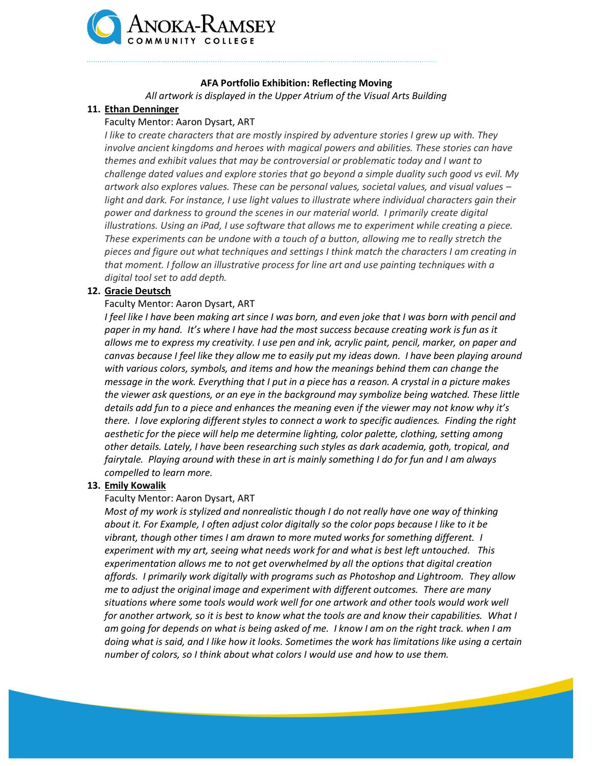

# **AFA Portfolio Exhibition: Reflecting Moving**

*All artwork is displayed in the Upper Atrium of the Visual Arts Building*

# **11. Ethan Denninger**

# Faculty Mentor: Aaron Dysart, ART

*I like to create characters that are mostly inspired by adventure stories I grew up with. They involve ancient kingdoms and heroes with magical powers and abilities. These stories can have themes and exhibit values that may be controversial or problematic today and I want to challenge dated values and explore stories that go beyond a simple duality such good vs evil. My artwork also explores values. These can be personal values, societal values, and visual values – light and dark. For instance, I use light values to illustrate where individual characters gain their power and darkness to ground the scenes in our material world. I primarily create digital illustrations. Using an iPad, I use software that allows me to experiment while creating a piece. These experiments can be undone with a touch of a button, allowing me to really stretch the pieces and figure out what techniques and settings I think match the characters I am creating in that moment. I follow an illustrative process for line art and use painting techniques with a digital tool set to add depth.*

# **12. Gracie Deutsch**

# Faculty Mentor: Aaron Dysart, ART

*I* feel like I have been making art since I was born, and even joke that I was born with pencil and *paper in my hand. It's where I have had the most success because creating work is fun as it allows me to express my creativity. I use pen and ink, acrylic paint, pencil, marker, on paper and canvas because I feel like they allow me to easily put my ideas down. I have been playing around with various colors, symbols, and items and how the meanings behind them can change the message in the work. Everything that I put in a piece has a reason. A crystal in a picture makes the viewer ask questions, or an eye in the background may symbolize being watched. These little details add fun to a piece and enhances the meaning even if the viewer may not know why it's there. I love exploring different styles to connect a work to specific audiences. Finding the right aesthetic for the piece will help me determine lighting, color palette, clothing, setting among other details. Lately, I have been researching such styles as dark academia, goth, tropical, and fairytale. Playing around with these in art is mainly something I do for fun and I am always compelled to learn more.*

# **13. Emily Kowalik**

# Faculty Mentor: Aaron Dysart, ART

*Most of my work is stylized and nonrealistic though I do not really have one way of thinking about it. For Example, I often adjust color digitally so the color pops because I like to it be vibrant, though other times I am drawn to more muted works for something different. I experiment with my art, seeing what needs work for and what is best left untouched. This experimentation allows me to not get overwhelmed by all the options that digital creation affords. I primarily work digitally with programs such as Photoshop and Lightroom. They allow me to adjust the original image and experiment with different outcomes. There are many situations where some tools would work well for one artwork and other tools would work well for another artwork, so it is best to know what the tools are and know their capabilities. What I am going for depends on what is being asked of me. I know I am on the right track. when I am doing what is said, and I like how it looks. Sometimes the work has limitations like using a certain number of colors, so I think about what colors I would use and how to use them.*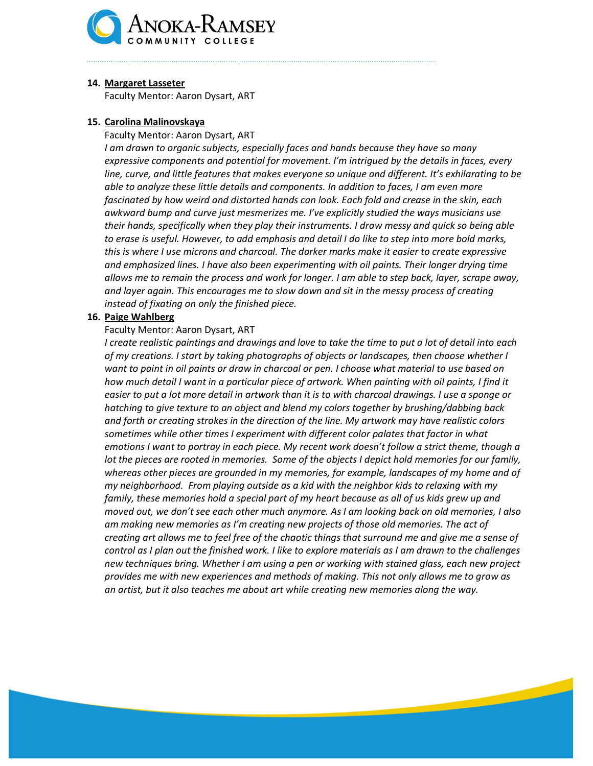

#### **14. Margaret Lasseter**

Faculty Mentor: Aaron Dysart, ART

# **15. Carolina Malinovskaya**

Faculty Mentor: Aaron Dysart, ART

*I am drawn to organic subjects, especially faces and hands because they have so many expressive components and potential for movement. I'm intrigued by the details in faces, every line, curve, and little features that makes everyone so unique and different. It's exhilarating to be able to analyze these little details and components. In addition to faces, I am even more fascinated by how weird and distorted hands can look. Each fold and crease in the skin, each awkward bump and curve just mesmerizes me. I've explicitly studied the ways musicians use their hands, specifically when they play their instruments. I draw messy and quick so being able to erase is useful. However, to add emphasis and detail I do like to step into more bold marks, this is where I use microns and charcoal. The darker marks make it easier to create expressive and emphasized lines. I have also been experimenting with oil paints. Their longer drying time allows me to remain the process and work for longer. I am able to step back, layer, scrape away, and layer again. This encourages me to slow down and sit in the messy process of creating instead of fixating on only the finished piece.*

#### **16. Paige Wahlberg**

#### Faculty Mentor: Aaron Dysart, ART

*I create realistic paintings and drawings and love to take the time to put a lot of detail into each of my creations. I start by taking photographs of objects or landscapes, then choose whether I want to paint in oil paints or draw in charcoal or pen. I choose what material to use based on*  how much detail I want in a particular piece of artwork. When painting with oil paints, I find it *easier to put a lot more detail in artwork than it is to with charcoal drawings. I use a sponge or hatching to give texture to an object and blend my colors together by brushing/dabbing back and forth or creating strokes in the direction of the line. My artwork may have realistic colors sometimes while other times I experiment with different color palates that factor in what emotions I want to portray in each piece. My recent work doesn't follow a strict theme, though a lot the pieces are rooted in memories. Some of the objects I depict hold memories for our family, whereas other pieces are grounded in my memories, for example, landscapes of my home and of my neighborhood. From playing outside as a kid with the neighbor kids to relaxing with my family, these memories hold a special part of my heart because as all of us kids grew up and moved out, we don't see each other much anymore. As I am looking back on old memories, I also am making new memories as I'm creating new projects of those old memories. The act of creating art allows me to feel free of the chaotic things that surround me and give me a sense of control as I plan out the finished work. I like to explore materials as I am drawn to the challenges new techniques bring. Whether I am using a pen or working with stained glass, each new project provides me with new experiences and methods of making. This not only allows me to grow as an artist, but it also teaches me about art while creating new memories along the way.*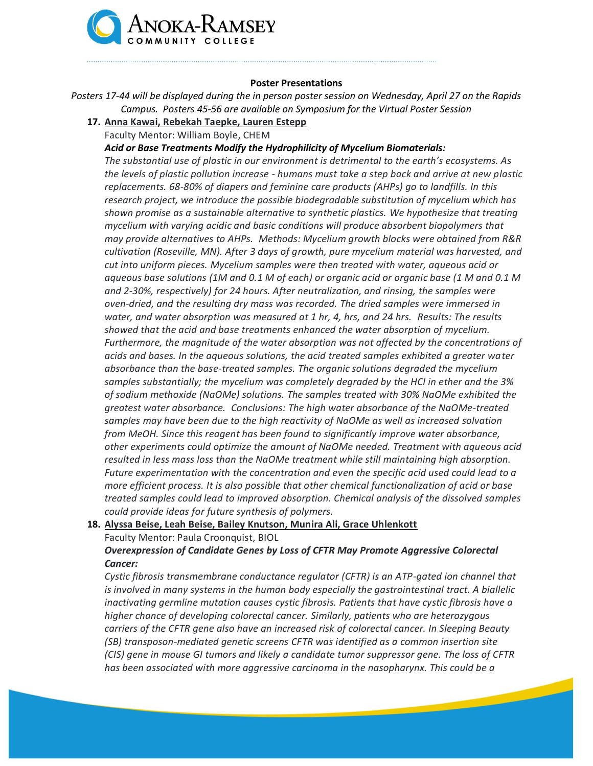

#### **Poster Presentations**

*Posters 17-44 will be displayed during the in person poster session on Wednesday, April 27 on the Rapids Campus. Posters 45-56 are available on Symposium for the Virtual Poster Session*

- **17. Anna Kawai, Rebekah Taepke, Lauren Estepp**
	- Faculty Mentor: William Boyle, CHEM

*Acid or Base Treatments Modify the Hydrophilicity of Mycelium Biomaterials:*

*The substantial use of plastic in our environment is detrimental to the earth's ecosystems. As the levels of plastic pollution increase - humans must take a step back and arrive at new plastic replacements. 68-80% of diapers and feminine care products (AHPs) go to landfills. In this research project, we introduce the possible biodegradable substitution of mycelium which has shown promise as a sustainable alternative to synthetic plastics. We hypothesize that treating mycelium with varying acidic and basic conditions will produce absorbent biopolymers that may provide alternatives to AHPs. Methods: Mycelium growth blocks were obtained from R&R cultivation (Roseville, MN). After 3 days of growth, pure mycelium material was harvested, and cut into uniform pieces. Mycelium samples were then treated with water, aqueous acid or aqueous base solutions (1M and 0.1 M of each) or organic acid or organic base (1 M and 0.1 M and 2-30%, respectively) for 24 hours. After neutralization, and rinsing, the samples were oven-dried, and the resulting dry mass was recorded. The dried samples were immersed in water, and water absorption was measured at 1 hr, 4, hrs, and 24 hrs. Results: The results showed that the acid and base treatments enhanced the water absorption of mycelium. Furthermore, the magnitude of the water absorption was not affected by the concentrations of acids and bases. In the aqueous solutions, the acid treated samples exhibited a greater water absorbance than the base-treated samples. The organic solutions degraded the mycelium samples substantially; the mycelium was completely degraded by the HCl in ether and the 3% of sodium methoxide (NaOMe) solutions. The samples treated with 30% NaOMe exhibited the greatest water absorbance. Conclusions: The high water absorbance of the NaOMe-treated samples may have been due to the high reactivity of NaOMe as well as increased solvation from MeOH. Since this reagent has been found to significantly improve water absorbance, other experiments could optimize the amount of NaOMe needed. Treatment with aqueous acid resulted in less mass loss than the NaOMe treatment while still maintaining high absorption. Future experimentation with the concentration and even the specific acid used could lead to a more efficient process. It is also possible that other chemical functionalization of acid or base treated samples could lead to improved absorption. Chemical analysis of the dissolved samples could provide ideas for future synthesis of polymers.*

**18. Alyssa Beise, Leah Beise, Bailey Knutson, Munira Ali, Grace Uhlenkott**

Faculty Mentor: Paula Croonquist, BIOL

*Overexpression of Candidate Genes by Loss of CFTR May Promote Aggressive Colorectal Cancer:*

*Cystic fibrosis transmembrane conductance regulator (CFTR) is an ATP-gated ion channel that is involved in many systems in the human body especially the gastrointestinal tract. A biallelic inactivating germline mutation causes cystic fibrosis. Patients that have cystic fibrosis have a higher chance of developing colorectal cancer. Similarly, patients who are heterozygous carriers of the CFTR gene also have an increased risk of colorectal cancer. In Sleeping Beauty (SB) transposon-mediated genetic screens CFTR was identified as a common insertion site (CIS) gene in mouse GI tumors and likely a candidate tumor suppressor gene. The loss of CFTR has been associated with more aggressive carcinoma in the nasopharynx. This could be a*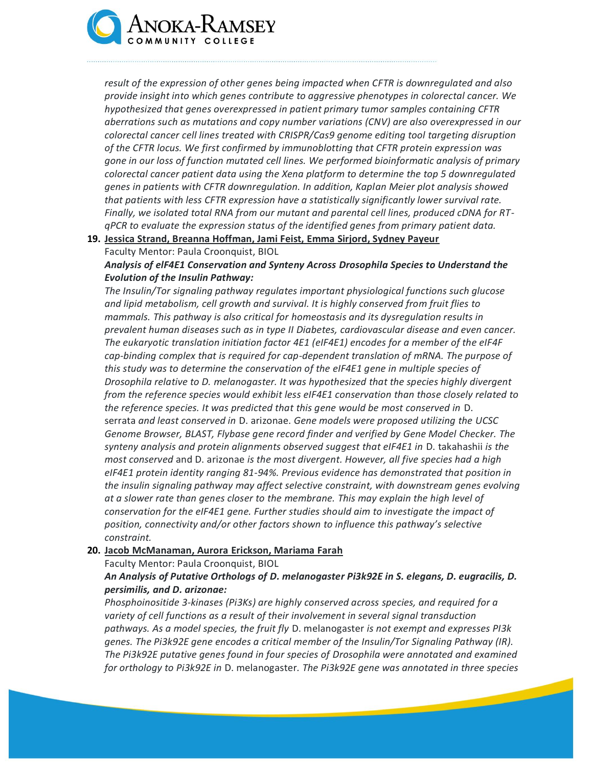

*result of the expression of other genes being impacted when CFTR is downregulated and also provide insight into which genes contribute to aggressive phenotypes in colorectal cancer. We hypothesized that genes overexpressed in patient primary tumor samples containing CFTR aberrations such as mutations and copy number variations (CNV) are also overexpressed in our colorectal cancer cell lines treated with CRISPR/Cas9 genome editing tool targeting disruption of the CFTR locus. We first confirmed by immunoblotting that CFTR protein expression was gone in our loss of function mutated cell lines. We performed bioinformatic analysis of primary colorectal cancer patient data using the Xena platform to determine the top 5 downregulated genes in patients with CFTR downregulation. In addition, Kaplan Meier plot analysis showed that patients with less CFTR expression have a statistically significantly lower survival rate. Finally, we isolated total RNA from our mutant and parental cell lines, produced cDNA for RTqPCR to evaluate the expression status of the identified genes from primary patient data.*

**19. Jessica Strand, Breanna Hoffman, Jami Feist, Emma Sirjord, Sydney Payeur** Faculty Mentor: Paula Croonquist, BIOL

*Analysis of elF4E1 Conservation and Synteny Across Drosophila Species to Understand the Evolution of the Insulin Pathway:*

*The Insulin/Tor signaling pathway regulates important physiological functions such glucose and lipid metabolism, cell growth and survival. It is highly conserved from fruit flies to mammals. This pathway is also critical for homeostasis and its dysregulation results in prevalent human diseases such as in type II Diabetes, cardiovascular disease and even cancer. The eukaryotic translation initiation factor 4E1 (eIF4E1) encodes for a member of the eIF4F cap-binding complex that is required for cap-dependent translation of mRNA. The purpose of this study was to determine the conservation of the eIF4E1 gene in multiple species of Drosophila relative to D. melanogaster. It was hypothesized that the species highly divergent from the reference species would exhibit less eIF4E1 conservation than those closely related to the reference species. It was predicted that this gene would be most conserved in* D. serrata *and least conserved in* D. arizonae. *Gene models were proposed utilizing the UCSC Genome Browser, BLAST, Flybase gene record finder and verified by Gene Model Checker. The synteny analysis and protein alignments observed suggest that eIF4E1 in* D. takahashii *is the most conserved* and D. arizonae *is the most divergent. However, all five species had a high eIF4E1 protein identity ranging 81-94%. Previous evidence has demonstrated that position in the insulin signaling pathway may affect selective constraint, with downstream genes evolving at a slower rate than genes closer to the membrane. This may explain the high level of conservation for the eIF4E1 gene. Further studies should aim to investigate the impact of position, connectivity and/or other factors shown to influence this pathway's selective constraint.*

#### **20. Jacob McManaman, Aurora Erickson, Mariama Farah**

Faculty Mentor: Paula Croonquist, BIOL

# *An Analysis of Putative Orthologs of D. melanogaster Pi3k92E in S. elegans, D. eugracilis, D. persimilis, and D. arizonae:*

*Phosphoinositide 3-kinases (Pi3Ks) are highly conserved across species, and required for a variety of cell functions as a result of their involvement in several signal transduction pathways. As a model species, the fruit fly* D. melanogaster *is not exempt and expresses PI3k genes. The Pi3k92E gene encodes a critical member of the Insulin/Tor Signaling Pathway (IR). The Pi3k92E putative genes found in four species of Drosophila were annotated and examined for orthology to Pi3k92E in* D. melanogaster*. The Pi3k92E gene was annotated in three species*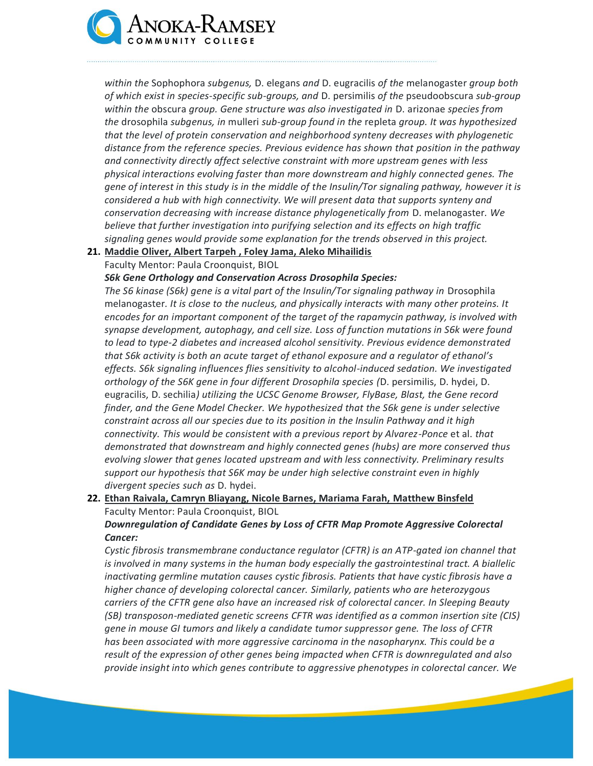

*within the* Sophophora *subgenus,* D. elegans *and* D. eugracilis *of the* melanogaster *group both of which exist in species-specific sub-groups, and* D. persimilis *of the* pseudoobscura *sub-group within the* obscura *group. Gene structure was also investigated in* D. arizonae *species from the* drosophila *subgenus, in* mulleri *sub-group found in the* repleta *group. It was hypothesized that the level of protein conservation and neighborhood synteny decreases with phylogenetic distance from the reference species. Previous evidence has shown that position in the pathway and connectivity directly affect selective constraint with more upstream genes with less physical interactions evolving faster than more downstream and highly connected genes. The gene of interest in this study is in the middle of the Insulin/Tor signaling pathway, however it is considered a hub with high connectivity. We will present data that supports synteny and conservation decreasing with increase distance phylogenetically from* D. melanogaster*. We believe that further investigation into purifying selection and its effects on high traffic signaling genes would provide some explanation for the trends observed in this project.* 

# **21. Maddie Oliver, Albert Tarpeh , Foley Jama, Aleko Mihailidis**

#### Faculty Mentor: Paula Croonquist, BIOL

*S6k Gene Orthology and Conservation Across Drosophila Species:*

*The S6 kinase (S6k) gene is a vital part of the Insulin/Tor signaling pathway in* Drosophila melanogaster*. It is close to the nucleus, and physically interacts with many other proteins. It encodes for an important component of the target of the rapamycin pathway, is involved with synapse development, autophagy, and cell size. Loss of function mutations in S6k were found to lead to type-2 diabetes and increased alcohol sensitivity. Previous evidence demonstrated that S6k activity is both an acute target of ethanol exposure and a regulator of ethanol's effects. S6k signaling influences flies sensitivity to alcohol-induced sedation. We investigated orthology of the S6K gene in four different Drosophila species (*D. persimilis, D. hydei, D. eugracilis, D. sechilia*) utilizing the UCSC Genome Browser, FlyBase, Blast, the Gene record finder, and the Gene Model Checker. We hypothesized that the S6k gene is under selective constraint across all our species due to its position in the Insulin Pathway and it high connectivity. This would be consistent with a previous report by Alvarez-Ponce* et al. *that demonstrated that downstream and highly connected genes (hubs) are more conserved thus evolving slower that genes located upstream and with less connectivity. Preliminary results support our hypothesis that S6K may be under high selective constraint even in highly divergent species such as* D. hydei.

# **22. Ethan Raivala, Camryn Bliayang, Nicole Barnes, Mariama Farah, Matthew Binsfeld** Faculty Mentor: Paula Croonquist, BIOL

# *Downregulation of Candidate Genes by Loss of CFTR Map Promote Aggressive Colorectal Cancer:*

*Cystic fibrosis transmembrane conductance regulator (CFTR) is an ATP-gated ion channel that is involved in many systems in the human body especially the gastrointestinal tract. A biallelic inactivating germline mutation causes cystic fibrosis. Patients that have cystic fibrosis have a higher chance of developing colorectal cancer. Similarly, patients who are heterozygous carriers of the CFTR gene also have an increased risk of colorectal cancer. In Sleeping Beauty (SB) transposon-mediated genetic screens CFTR was identified as a common insertion site (CIS) gene in mouse GI tumors and likely a candidate tumor suppressor gene. The loss of CFTR has been associated with more aggressive carcinoma in the nasopharynx. This could be a result of the expression of other genes being impacted when CFTR is downregulated and also provide insight into which genes contribute to aggressive phenotypes in colorectal cancer. We*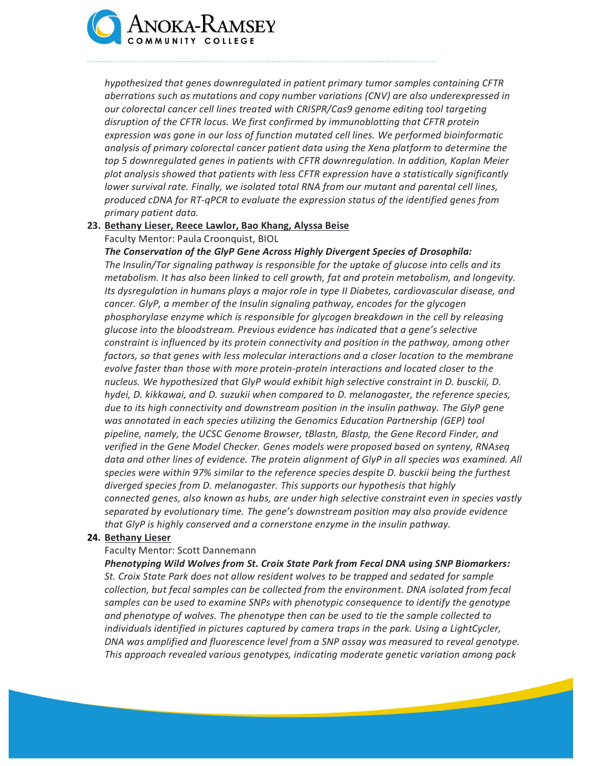

*hypothesized that genes downregulated in patient primary tumor samples containing CFTR aberrations such as mutations and copy number variations (CNV) are also underexpressed in our colorectal cancer cell lines treated with CRISPR/Cas9 genome editing tool targeting disruption of the CFTR locus. We first confirmed by immunoblotting that CFTR protein expression was gone in our loss of function mutated cell lines. We performed bioinformatic analysis of primary colorectal cancer patient data using the Xena platform to determine the top 5 downregulated genes in patients with CFTR downregulation. In addition, Kaplan Meier plot analysis showed that patients with less CFTR expression have a statistically significantly lower survival rate. Finally, we isolated total RNA from our mutant and parental cell lines, produced cDNA for RT-qPCR to evaluate the expression status of the identified genes from primary patient data.*

# **23. Bethany Lieser, Reece Lawlor, Bao Khang, Alyssa Beise**

Faculty Mentor: Paula Croonquist, BIOL

*The Conservation of the GlyP Gene Across Highly Divergent Species of Drosophila: The Insulin/Tor signaling pathway is responsible for the uptake of glucose into cells and its metabolism. It has also been linked to cell growth, fat and protein metabolism, and longevity. Its dysregulation in humans plays a major role in type II Diabetes, cardiovascular disease, and cancer. GlyP, a member of the Insulin signaling pathway, encodes for the glycogen phosphorylase enzyme which is responsible for glycogen breakdown in the cell by releasing glucose into the bloodstream. Previous evidence has indicated that a gene's selective constraint is influenced by its protein connectivity and position in the pathway, among other factors, so that genes with less molecular interactions and a closer location to the membrane evolve faster than those with more protein-protein interactions and located closer to the nucleus. We hypothesized that GlyP would exhibit high selective constraint in D. busckii, D. hydei, D. kikkawai, and D. suzukii when compared to D. melanogaster, the reference species, due to its high connectivity and downstream position in the insulin pathway. The GlyP gene was annotated in each species utilizing the Genomics Education Partnership (GEP) tool pipeline, namely, the UCSC Genome Browser, tBlastn, Blastp, the Gene Record Finder, and verified in the Gene Model Checker. Genes models were proposed based on synteny, RNAseq data and other lines of evidence. The protein alignment of GlyP in all species was examined. All species were within 97% similar to the reference species despite D. busckii being the furthest diverged species from D. melanogaster. This supports our hypothesis that highly connected genes, also known as hubs, are under high selective constraint even in species vastly separated by evolutionary time. The gene's downstream position may also provide evidence that GlyP is highly conserved and a cornerstone enzyme in the insulin pathway.*

#### **24. Bethany Lieser**

#### Faculty Mentor: Scott Dannemann

*Phenotyping Wild Wolves from St. Croix State Park from Fecal DNA using SNP Biomarkers: St. Croix State Park does not allow resident wolves to be trapped and sedated for sample collection, but fecal samples can be collected from the environment. DNA isolated from fecal samples can be used to examine SNPs with phenotypic consequence to identify the genotype and phenotype of wolves. The phenotype then can be used to tie the sample collected to individuals identified in pictures captured by camera traps in the park. Using a LightCycler, DNA was amplified and fluorescence level from a SNP assay was measured to reveal genotype. This approach revealed various genotypes, indicating moderate genetic variation among pack*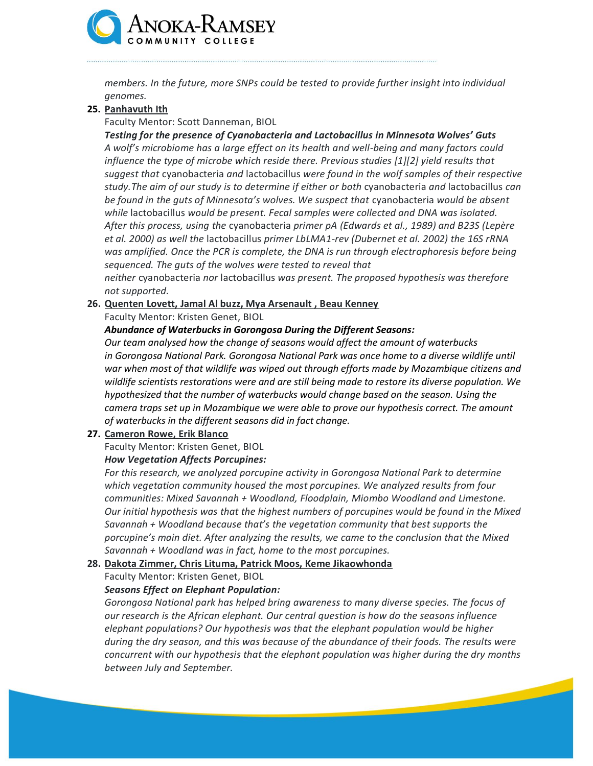

*members. In the future, more SNPs could be tested to provide further insight into individual genomes.*

# **25. Panhavuth Ith**

Faculty Mentor: Scott Danneman, BIOL

*Testing for the presence of Cyanobacteria and Lactobacillus in Minnesota Wolves' Guts A wolf's microbiome has a large effect on its health and well-being and many factors could influence the type of microbe which reside there. Previous studies [1][2] yield results that suggest that* cyanobacteria *and* lactobacillus *were found in the wolf samples of their respective study.The aim of our study is to determine if either or both* cyanobacteria *and* lactobacillus *can be found in the guts of Minnesota's wolves. We suspect that* cyanobacteria *would be absent while* lactobacillus *would be present. Fecal samples were collected and DNA was isolated. After this process, using the* cyanobacteria *primer pA (Edwards et al., 1989) and B23S (Lepère et al. 2000) as well the* lactobacillus *primer LbLMA1-rev (Dubernet et al. 2002) the 16S rRNA was amplified. Once the PCR is complete, the DNA is run through electrophoresis before being sequenced. The guts of the wolves were tested to reveal that* 

*neither* cyanobacteria *nor* lactobacillus *was present. The proposed hypothesis was therefore not supported.*

#### **26. Quenten Lovett, Jamal Al buzz, Mya Arsenault , Beau Kenney**

Faculty Mentor: Kristen Genet, BIOL

# *Abundance of Waterbucks in Gorongosa During the Different Seasons:*

*Our team analysed how the change of seasons would affect the amount of waterbucks in Gorongosa National Park. Gorongosa National Park was once home to a diverse wildlife until war when most of that wildlife was wiped out through efforts made by Mozambique citizens and wildlife scientists restorations were and are still being made to restore its diverse population. We hypothesized that the number of waterbucks would change based on the season. Using the camera traps set up in Mozambique we were able to prove our hypothesis correct. The amount of waterbucks in the different seasons did in fact change.*

# **27. Cameron Rowe, Erik Blanco**

Faculty Mentor: Kristen Genet, BIOL

# *How Vegetation Affects Porcupines:*

*For this research, we analyzed porcupine activity in Gorongosa National Park to determine which vegetation community housed the most porcupines. We analyzed results from four communities: Mixed Savannah + Woodland, Floodplain, Miombo Woodland and Limestone. Our initial hypothesis was that the highest numbers of porcupines would be found in the Mixed Savannah + Woodland because that's the vegetation community that best supports the porcupine's main diet. After analyzing the results, we came to the conclusion that the Mixed Savannah + Woodland was in fact, home to the most porcupines.*

# **28. Dakota Zimmer, Chris Lituma, Patrick Moos, Keme Jikaowhonda**

Faculty Mentor: Kristen Genet, BIOL

# *Seasons Effect on Elephant Population:*

*Gorongosa National park has helped bring awareness to many diverse species. The focus of our research is the African elephant. Our central question is how do the seasons influence elephant populations? Our hypothesis was that the elephant population would be higher during the dry season, and this was because of the abundance of their foods. The results were concurrent with our hypothesis that the elephant population was higher during the dry months between July and September.*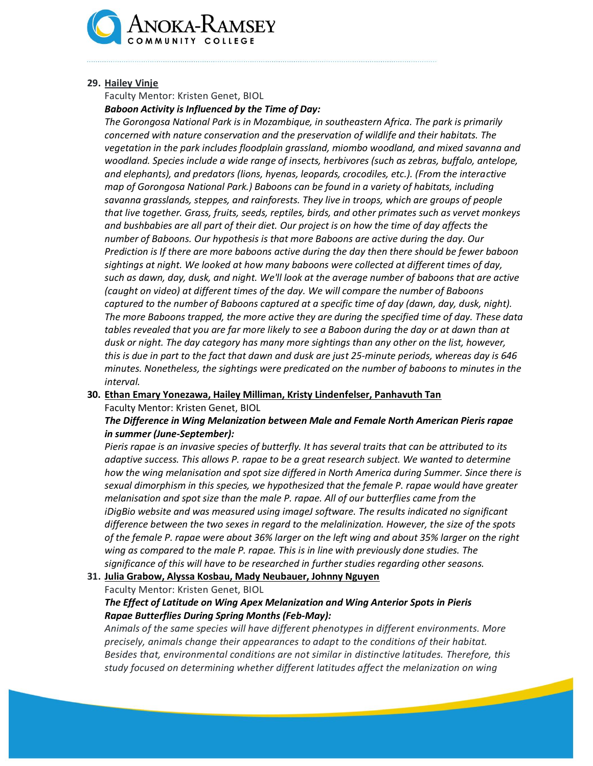

#### **29. Hailey Vinje**

Faculty Mentor: Kristen Genet, BIOL

*Baboon Activity is Influenced by the Time of Day:*

*The Gorongosa National Park is in Mozambique, in southeastern Africa. The park is primarily concerned with nature conservation and the preservation of wildlife and their habitats. The vegetation in the park includes floodplain grassland, miombo woodland, and mixed savanna and woodland. Species include a wide range of insects, herbivores (such as zebras, buffalo, antelope, and elephants), and predators (lions, hyenas, leopards, crocodiles, etc.). (From the interactive map of Gorongosa National Park.) Baboons can be found in a variety of habitats, including savanna grasslands, steppes, and rainforests. They live in troops, which are groups of people that live together. Grass, fruits, seeds, reptiles, birds, and other primates such as vervet monkeys and bushbabies are all part of their diet. Our project is on how the time of day affects the number of Baboons. Our hypothesis is that more Baboons are active during the day. Our Prediction is If there are more baboons active during the day then there should be fewer baboon sightings at night. We looked at how many baboons were collected at different times of day, such as dawn, day, dusk, and night. We'll look at the average number of baboons that are active (caught on video) at different times of the day. We will compare the number of Baboons captured to the number of Baboons captured at a specific time of day (dawn, day, dusk, night). The more Baboons trapped, the more active they are during the specified time of day. These data*  tables revealed that you are far more likely to see a Baboon during the day or at dawn than at *dusk or night. The day category has many more sightings than any other on the list, however, this is due in part to the fact that dawn and dusk are just 25-minute periods, whereas day is 646 minutes. Nonetheless, the sightings were predicated on the number of baboons to minutes in the interval.* 

**30. Ethan Emary Yonezawa, Hailey Milliman, Kristy Lindenfelser, Panhavuth Tan** Faculty Mentor: Kristen Genet, BIOL

*The Difference in Wing Melanization between Male and Female North American Pieris rapae in summer (June-September):*

*Pieris rapae is an invasive species of butterfly. It has several traits that can be attributed to its adaptive success. This allows P. rapae to be a great research subject. We wanted to determine how the wing melanisation and spot size differed in North America during Summer. Since there is sexual dimorphism in this species, we hypothesized that the female P. rapae would have greater melanisation and spot size than the male P. rapae. All of our butterflies came from the iDigBio website and was measured using imageJ software. The results indicated no significant difference between the two sexes in regard to the melalinization. However, the size of the spots of the female P. rapae were about 36% larger on the left wing and about 35% larger on the right wing as compared to the male P. rapae. This is in line with previously done studies. The significance of this will have to be researched in further studies regarding other seasons.*

**31. Julia Grabow, Alyssa Kosbau, Mady Neubauer, Johnny Nguyen**

Faculty Mentor: Kristen Genet, BIOL

# *The Effect of Latitude on Wing Apex Melanization and Wing Anterior Spots in Pieris Rapae Butterflies During Spring Months (Feb-May):*

*Animals of the same species will have different phenotypes in different environments. More precisely, animals change their appearances to adapt to the conditions of their habitat. Besides that, environmental conditions are not similar in distinctive latitudes. Therefore, this study focused on determining whether different latitudes affect the melanization on wing*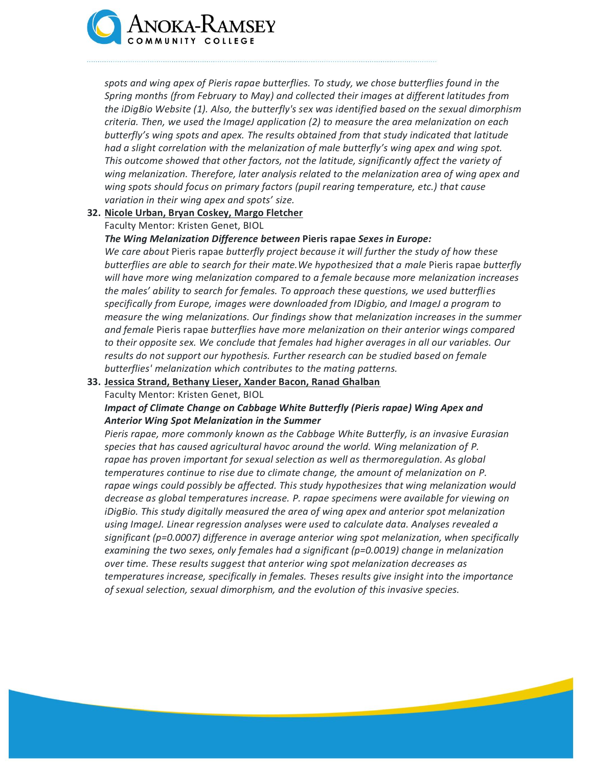

*spots and wing apex of Pieris rapae butterflies. To study, we chose butterflies found in the Spring months (from February to May) and collected their images at different latitudes from the iDigBio Website (1). Also, the butterfly's sex was identified based on the sexual dimorphism criteria. Then, we used the ImageJ application (2) to measure the area melanization on each butterfly's wing spots and apex. The results obtained from that study indicated that latitude had a slight correlation with the melanization of male butterfly's wing apex and wing spot. This outcome showed that other factors, not the latitude, significantly affect the variety of wing melanization. Therefore, later analysis related to the melanization area of wing apex and wing spots should focus on primary factors (pupil rearing temperature, etc.) that cause variation in their wing apex and spots' size.*

#### **32. Nicole Urban, Bryan Coskey, Margo Fletcher**

Faculty Mentor: Kristen Genet, BIOL

#### *The Wing Melanization Difference between* **Pieris rapae** *Sexes in Europe:*

*We care about* Pieris rapae *butterfly project because it will further the study of how these butterflies are able to search for their mate.We hypothesized that a male* Pieris rapae *butterfly will have more wing melanization compared to a female because more melanization increases the males' ability to search for females. To approach these questions, we used butterflies specifically from Europe, images were downloaded from IDigbio, and ImageJ a program to measure the wing melanizations. Our findings show that melanization increases in the summer and female* Pieris rapae *butterflies have more melanization on their anterior wings compared to their opposite sex. We conclude that females had higher averages in all our variables. Our results do not support our hypothesis. Further research can be studied based on female butterflies' melanization which contributes to the mating patterns.*

#### **33. Jessica Strand, Bethany Lieser, Xander Bacon, Ranad Ghalban**

Faculty Mentor: Kristen Genet, BIOL

# *Impact of Climate Change on Cabbage White Butterfly (Pieris rapae) Wing Apex and Anterior Wing Spot Melanization in the Summer*

*Pieris rapae, more commonly known as the Cabbage White Butterfly, is an invasive Eurasian species that has caused agricultural havoc around the world. Wing melanization of P. rapae has proven important for sexual selection as well as thermoregulation. As global temperatures continue to rise due to climate change, the amount of melanization on P. rapae wings could possibly be affected. This study hypothesizes that wing melanization would decrease as global temperatures increase. P. rapae specimens were available for viewing on iDigBio. This study digitally measured the area of wing apex and anterior spot melanization using ImageJ. Linear regression analyses were used to calculate data. Analyses revealed a significant (p=0.0007) difference in average anterior wing spot melanization, when specifically examining the two sexes, only females had a significant (p=0.0019) change in melanization over time. These results suggest that anterior wing spot melanization decreases as temperatures increase, specifically in females. Theses results give insight into the importance of sexual selection, sexual dimorphism, and the evolution of this invasive species.*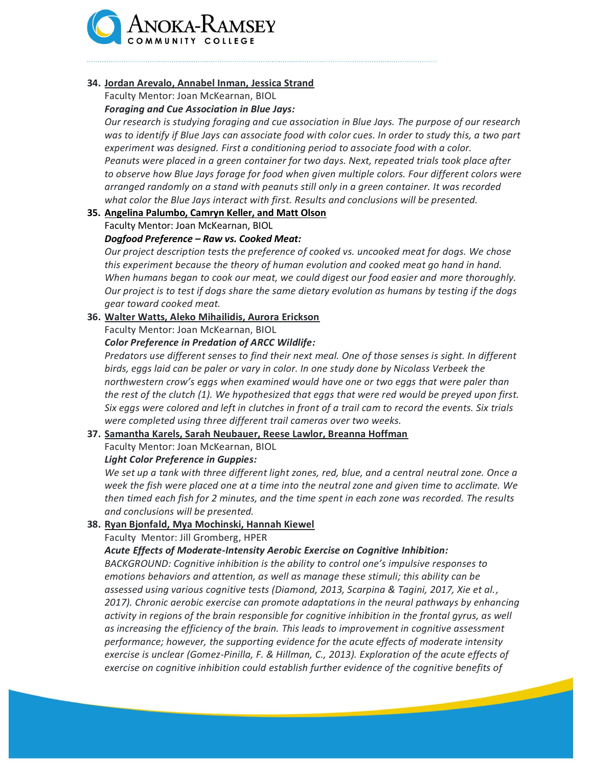

# **34. Jordan Arevalo, Annabel Inman, Jessica Strand**

Faculty Mentor: Joan McKearnan, BIOL

#### *Foraging and Cue Association in Blue Jays:*

*Our research is studying foraging and cue association in Blue Jays. The purpose of our research was to identify if Blue Jays can associate food with color cues. In order to study this, a two part experiment was designed. First a conditioning period to associate food with a color. Peanuts were placed in a green container for two days. Next, repeated trials took place after to observe how Blue Jays forage for food when given multiple colors. Four different colors were arranged randomly on a stand with peanuts still only in a green container. It was recorded what color the Blue Jays interact with first. Results and conclusions will be presented.*

# **35. Angelina Palumbo, Camryn Keller, and Matt Olson**

Faculty Mentor: Joan McKearnan, BIOL

#### *Dogfood Preference – Raw vs. Cooked Meat:*

*Our project description tests the preference of cooked vs. uncooked meat for dogs. We chose this experiment because the theory of human evolution and cooked meat go hand in hand. When humans began to cook our meat, we could digest our food easier and more thoroughly. Our project is to test if dogs share the same dietary evolution as humans by testing if the dogs gear toward cooked meat.*

#### **36. Walter Watts, Aleko Mihailidis, Aurora Erickson**

Faculty Mentor: Joan McKearnan, BIOL

#### *Color Preference in Predation of ARCC Wildlife:*

*Predators use different senses to find their next meal. One of those senses is sight. In different birds, eggs laid can be paler or vary in color. In one study done by Nicolass Verbeek the northwestern crow's eggs when examined would have one or two eggs that were paler than the rest of the clutch (1). We hypothesized that eggs that were red would be preyed upon first. Six eggs were colored and left in clutches in front of a trail cam to record the events. Six trials were completed using three different trail cameras over two weeks.*

# **37. Samantha Karels, Sarah Neubauer, Reese Lawlor, Breanna Hoffman**

Faculty Mentor: Joan McKearnan, BIOL

#### *Light Color Preference in Guppies:*

*We set up a tank with three different light zones, red, blue, and a central neutral zone. Once a week the fish were placed one at a time into the neutral zone and given time to acclimate. We then timed each fish for 2 minutes, and the time spent in each zone was recorded. The results and conclusions will be presented.*

#### **38. Ryan Bjonfald, Mya Mochinski, Hannah Kiewel**

Faculty Mentor: Jill Gromberg, HPER

#### *Acute Effects of Moderate-Intensity Aerobic Exercise on Cognitive Inhibition:*

*BACKGROUND: Cognitive inhibition is the ability to control one's impulsive responses to emotions behaviors and attention, as well as manage these stimuli; this ability can be assessed using various cognitive tests (Diamond, 2013, Scarpina & Tagini, 2017, Xie et al., 2017). Chronic aerobic exercise can promote adaptations in the neural pathways by enhancing activity in regions of the brain responsible for cognitive inhibition in the frontal gyrus, as well as increasing the efficiency of the brain. This leads to improvement in cognitive assessment performance; however, the supporting evidence for the acute effects of moderate intensity exercise is unclear (Gomez-Pinilla, F. & Hillman, C., 2013). Exploration of the acute effects of exercise on cognitive inhibition could establish further evidence of the cognitive benefits of*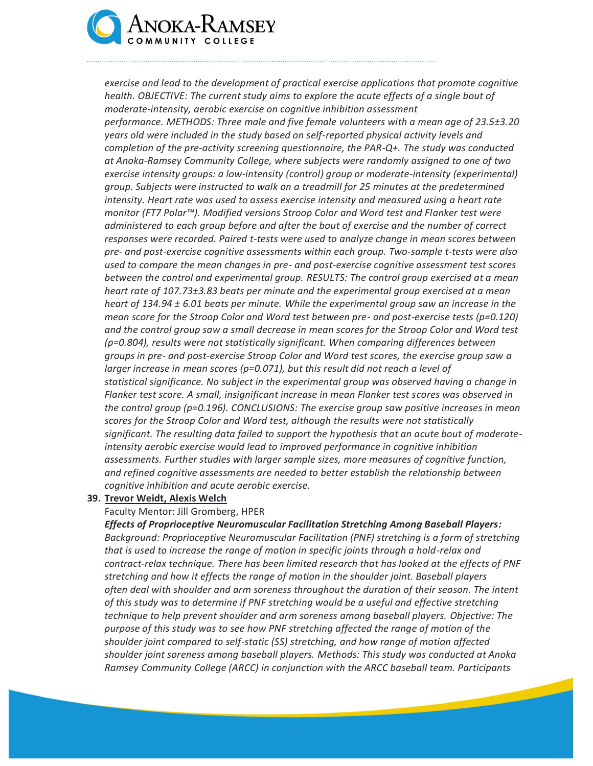

*exercise and lead to the development of practical exercise applications that promote cognitive health. OBJECTIVE: The current study aims to explore the acute effects of a single bout of moderate-intensity, aerobic exercise on cognitive inhibition assessment performance. METHODS: Three male and five female volunteers with a mean age of 23.5±3.20 years old were included in the study based on self-reported physical activity levels and completion of the pre-activity screening questionnaire, the PAR-Q+. The study was conducted at Anoka-Ramsey Community College, where subjects were randomly assigned to one of two exercise intensity groups: a low-intensity (control) group or moderate-intensity (experimental) group. Subjects were instructed to walk on a treadmill for 25 minutes at the predetermined intensity. Heart rate was used to assess exercise intensity and measured using a heart rate monitor (FT7 Polar™). Modified versions Stroop Color and Word test and Flanker test were administered to each group before and after the bout of exercise and the number of correct responses were recorded. Paired t-tests were used to analyze change in mean scores between pre- and post-exercise cognitive assessments within each group. Two-sample t-tests were also used to compare the mean changes in pre- and post-exercise cognitive assessment test scores between the control and experimental group. RESULTS: The control group exercised at a mean heart rate of 107.73±3.83 beats per minute and the experimental group exercised at a mean heart of 134.94 ± 6.01 beats per minute. While the experimental group saw an increase in the mean score for the Stroop Color and Word test between pre- and post-exercise tests (p=0.120) and the control group saw a small decrease in mean scores for the Stroop Color and Word test (p=0.804), results were not statistically significant. When comparing differences between groups in pre- and post-exercise Stroop Color and Word test scores, the exercise group saw a larger increase in mean scores (p=0.071), but this result did not reach a level of statistical significance. No subject in the experimental group was observed having a change in Flanker test score. A small, insignificant increase in mean Flanker test scores was observed in the control group (p=0.196). CONCLUSIONS: The exercise group saw positive increases in mean scores for the Stroop Color and Word test, although the results were not statistically significant. The resulting data failed to support the hypothesis that an acute bout of moderateintensity aerobic exercise would lead to improved performance in cognitive inhibition assessments. Further studies with larger sample sizes, more measures of cognitive function, and refined cognitive assessments are needed to better establish the relationship between cognitive inhibition and acute aerobic exercise.*

#### **39. Trevor Weidt, Alexis Welch**

Faculty Mentor: Jill Gromberg, HPER

*Effects of Proprioceptive Neuromuscular Facilitation Stretching Among Baseball Players: Background: Proprioceptive Neuromuscular Facilitation (PNF) stretching is a form of stretching that is used to increase the range of motion in specific joints through a hold-relax and contract-relax technique. There has been limited research that has looked at the effects of PNF stretching and how it effects the range of motion in the shoulder joint. Baseball players often deal with shoulder and arm soreness throughout the duration of their season. The intent of this study was to determine if PNF stretching would be a useful and effective stretching technique to help prevent shoulder and arm soreness among baseball players. Objective: The purpose of this study was to see how PNF stretching affected the range of motion of the shoulder joint compared to self-static (SS) stretching, and how range of motion affected shoulder joint soreness among baseball players. Methods: This study was conducted at Anoka Ramsey Community College (ARCC) in conjunction with the ARCC baseball team. Participants*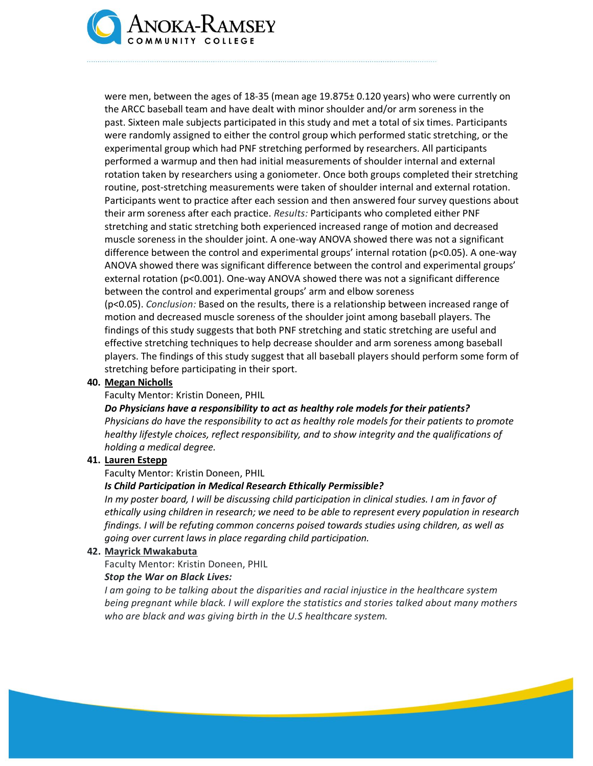

were men, between the ages of 18-35 (mean age 19.875± 0.120 years) who were currently on the ARCC baseball team and have dealt with minor shoulder and/or arm soreness in the past. Sixteen male subjects participated in this study and met a total of six times. Participants were randomly assigned to either the control group which performed static stretching, or the experimental group which had PNF stretching performed by researchers. All participants performed a warmup and then had initial measurements of shoulder internal and external rotation taken by researchers using a goniometer. Once both groups completed their stretching routine, post-stretching measurements were taken of shoulder internal and external rotation. Participants went to practice after each session and then answered four survey questions about their arm soreness after each practice. *Results:* Participants who completed either PNF stretching and static stretching both experienced increased range of motion and decreased muscle soreness in the shoulder joint. A one-way ANOVA showed there was not a significant difference between the control and experimental groups' internal rotation ( $p<0.05$ ). A one-way ANOVA showed there was significant difference between the control and experimental groups' external rotation (p<0.001). One-way ANOVA showed there was not a significant difference between the control and experimental groups' arm and elbow soreness (p<0.05). *Conclusion:* Based on the results, there is a relationship between increased range of motion and decreased muscle soreness of the shoulder joint among baseball players. The findings of this study suggests that both PNF stretching and static stretching are useful and effective stretching techniques to help decrease shoulder and arm soreness among baseball players. The findings of this study suggest that all baseball players should perform some form of stretching before participating in their sport.

#### **40. Megan Nicholls**

Faculty Mentor: Kristin Doneen, PHIL

*Do Physicians have a responsibility to act as healthy role models for their patients? Physicians do have the responsibility to act as healthy role models for their patients to promote healthy lifestyle choices, reflect responsibility, and to show integrity and the qualifications of holding a medical degree.*

#### **41. Lauren Estepp**

Faculty Mentor: Kristin Doneen, PHIL

#### *Is Child Participation in Medical Research Ethically Permissible?*

*In my poster board, I will be discussing child participation in clinical studies. I am in favor of ethically using children in research; we need to be able to represent every population in research findings. I will be refuting common concerns poised towards studies using children, as well as going over current laws in place regarding child participation.*

#### **42. Mayrick Mwakabuta**

Faculty Mentor: Kristin Doneen, PHIL

#### *Stop the War on Black Lives:*

*I* am going to be talking about the disparities and racial injustice in the healthcare system *being pregnant while black. I will explore the statistics and stories talked about many mothers who are black and was giving birth in the U.S healthcare system.*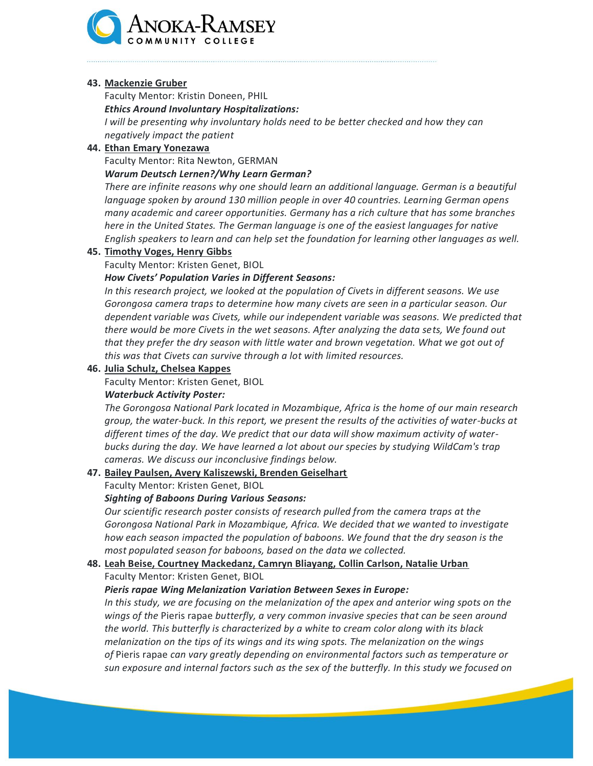

#### **43. Mackenzie Gruber**

Faculty Mentor: Kristin Doneen, PHIL

*Ethics Around Involuntary Hospitalizations:*

*I* will be presenting why involuntary holds need to be better checked and how they can *negatively impact the patient*

#### **44. Ethan Emary Yonezawa**

Faculty Mentor: Rita Newton, GERMAN

#### *Warum Deutsch Lernen?/Why Learn German?*

*There are infinite reasons why one should learn an additional language. German is a beautiful language spoken by around 130 million people in over 40 countries. Learning German opens many academic and career opportunities. Germany has a rich culture that has some branches here in the United States. The German language is one of the easiest languages for native English speakers to learn and can help set the foundation for learning other languages as well.*

#### **45. Timothy Voges, Henry Gibbs**

Faculty Mentor: Kristen Genet, BIOL

# *How Civets' Population Varies in Different Seasons:*

In this research project, we looked at the population of Civets in different seasons. We use *Gorongosa camera traps to determine how many civets are seen in a particular season. Our dependent variable was Civets, while our independent variable was seasons. We predicted that there would be more Civets in the wet seasons. After analyzing the data sets, We found out that they prefer the dry season with little water and brown vegetation. What we got out of this was that Civets can survive through a lot with limited resources.*

#### **46. Julia Schulz, Chelsea Kappes**

Faculty Mentor: Kristen Genet, BIOL

# *Waterbuck Activity Poster:*

*The Gorongosa National Park located in Mozambique, Africa is the home of our main research group, the water-buck. In this report, we present the results of the activities of water-bucks at different times of the day. We predict that our data will show maximum activity of waterbucks during the day. We have learned a lot about our species by studying WildCam's trap cameras. We discuss our inconclusive findings below.*

# **47. Bailey Paulsen, Avery Kaliszewski, Brenden Geiselhart**

Faculty Mentor: Kristen Genet, BIOL

# *Sighting of Baboons During Various Seasons:*

*Our scientific research poster consists of research pulled from the camera traps at the Gorongosa National Park in Mozambique, Africa. We decided that we wanted to investigate how each season impacted the population of baboons. We found that the dry season is the most populated season for baboons, based on the data we collected.*

# **48. Leah Beise, Courtney Mackedanz, Camryn Bliayang, Collin Carlson, Natalie Urban** Faculty Mentor: Kristen Genet, BIOL

# *Pieris rapae Wing Melanization Variation Between Sexes in Europe:*

*In this study, we are focusing on the melanization of the apex and anterior wing spots on the wings of the* Pieris rapae *butterfly, a very common invasive species that can be seen around the world. This butterfly is characterized by a white to cream color along with its black melanization on the tips of its wings and its wing spots. The melanization on the wings of* Pieris rapae *can vary greatly depending on environmental factors such as temperature or sun exposure and internal factors such as the sex of the butterfly. In this study we focused on*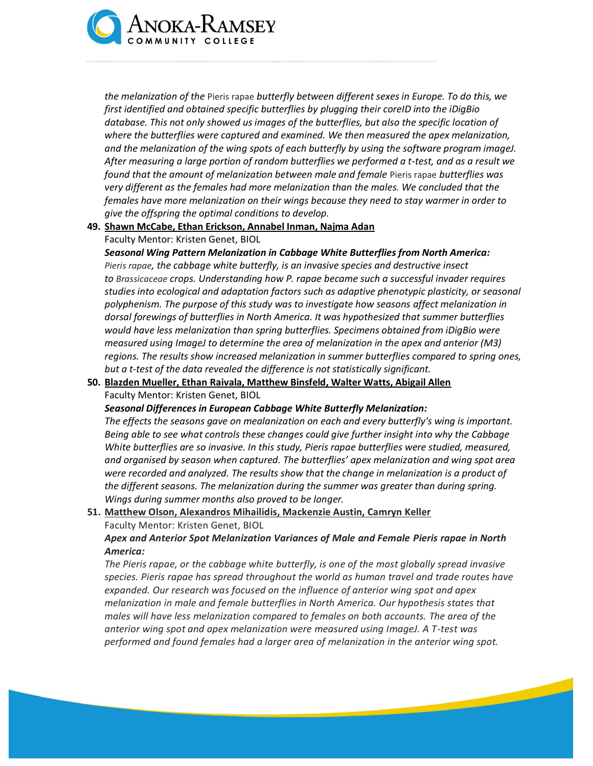

*the melanization of the* Pieris rapae *butterfly between different sexes in Europe. To do this, we first identified and obtained specific butterflies by plugging their coreID into the iDigBio database. This not only showed us images of the butterflies, but also the specific location of where the butterflies were captured and examined. We then measured the apex melanization, and the melanization of the wing spots of each butterfly by using the software program imageJ. After measuring a large portion of random butterflies we performed a t-test, and as a result we found that the amount of melanization between male and female* Pieris rapae *butterflies was very different as the females had more melanization than the males. We concluded that the females have more melanization on their wings because they need to stay warmer in order to give the offspring the optimal conditions to develop.*

# **49. Shawn McCabe, Ethan Erickson, Annabel Inman, Najma Adan** Faculty Mentor: Kristen Genet, BIOL

*Seasonal Wing Pattern Melanization in Cabbage White Butterflies from North America: Pieris rapae, the cabbage white butterfly, is an invasive species and destructive insect to Brassicaceae crops. Understanding how P. rapae became such a successful invader requires studies into ecological and adaptation factors such as adaptive phenotypic plasticity, or seasonal polyphenism. The purpose of this study was to investigate how seasons affect melanization in dorsal forewings of butterflies in North America. It was hypothesized that summer butterflies would have less melanization than spring butterflies. Specimens obtained from iDigBio were measured using ImageJ to determine the area of melanization in the apex and anterior (M3) regions. The results show increased melanization in summer butterflies compared to spring ones, but a t-test of the data revealed the difference is not statistically significant.*

**50. Blazden Mueller, Ethan Raivala, Matthew Binsfeld, Walter Watts, Abigail Allen** Faculty Mentor: Kristen Genet, BIOL

*Seasonal Differences in European Cabbage White Butterfly Melanization:*

*The effects the seasons gave on mealanization on each and every butterfly's wing is important. Being able to see what controls these changes could give further insight into why the Cabbage White butterflies are so invasive. In this study, Pieris rapae butterflies were studied, measured, and organised by season when captured. The butterflies' apex melanization and wing spot area were recorded and analyzed. The results show that the change in melanization is a product of the different seasons. The melanization during the summer was greater than during spring. Wings during summer months also proved to be longer.*

# **51. Matthew Olson, Alexandros Mihailidis, Mackenzie Austin, Camryn Keller** Faculty Mentor: Kristen Genet, BIOL

*Apex and Anterior Spot Melanization Variances of Male and Female Pieris rapae in North America:*

*The Pieris rapae, or the cabbage white butterfly, is one of the most globally spread invasive species. Pieris rapae has spread throughout the world as human travel and trade routes have expanded. Our research was focused on the influence of anterior wing spot and apex melanization in male and female butterflies in North America. Our hypothesis states that males will have less melanization compared to females on both accounts. The area of the anterior wing spot and apex melanization were measured using ImageJ. A T-test was performed and found females had a larger area of melanization in the anterior wing spot.*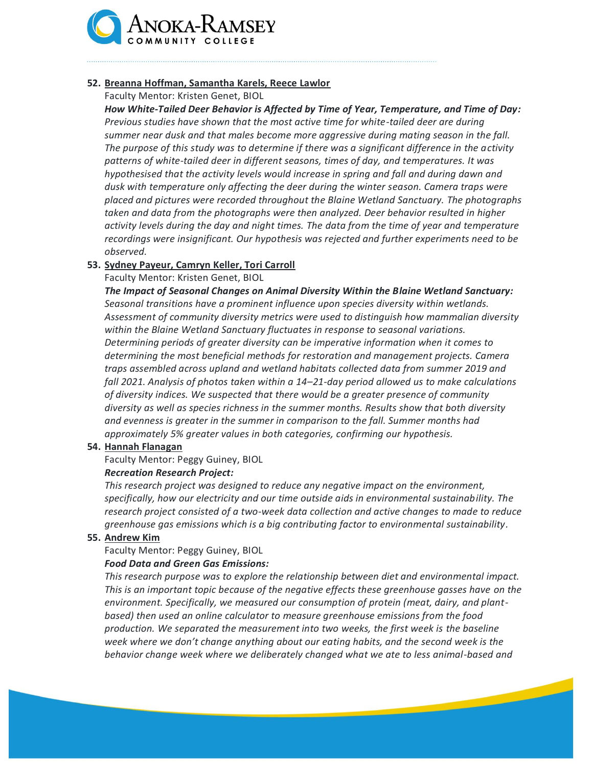

# **52. Breanna Hoffman, Samantha Karels, Reece Lawlor**

Faculty Mentor: Kristen Genet, BIOL

*How White-Tailed Deer Behavior is Affected by Time of Year, Temperature, and Time of Day: Previous studies have shown that the most active time for white-tailed deer are during summer near dusk and that males become more aggressive during mating season in the fall. The purpose of this study was to determine if there was a significant difference in the activity patterns of white-tailed deer in different seasons, times of day, and temperatures. It was hypothesised that the activity levels would increase in spring and fall and during dawn and dusk with temperature only affecting the deer during the winter season. Camera traps were placed and pictures were recorded throughout the Blaine Wetland Sanctuary. The photographs taken and data from the photographs were then analyzed. Deer behavior resulted in higher activity levels during the day and night times. The data from the time of year and temperature recordings were insignificant. Our hypothesis was rejected and further experiments need to be observed.*

# **53. Sydney Payeur, Camryn Keller, Tori Carroll**

Faculty Mentor: Kristen Genet, BIOL

*The Impact of Seasonal Changes on Animal Diversity Within the Blaine Wetland Sanctuary: Seasonal transitions have a prominent influence upon species diversity within wetlands. Assessment of community diversity metrics were used to distinguish how mammalian diversity within the Blaine Wetland Sanctuary fluctuates in response to seasonal variations. Determining periods of greater diversity can be imperative information when it comes to determining the most beneficial methods for restoration and management projects. Camera traps assembled across upland and wetland habitats collected data from summer 2019 and fall 2021. Analysis of photos taken within a 14–21-day period allowed us to make calculations of diversity indices. We suspected that there would be a greater presence of community diversity as well as species richness in the summer months. Results show that both diversity and evenness is greater in the summer in comparison to the fall. Summer months had approximately 5% greater values in both categories, confirming our hypothesis.*

# **54. Hannah Flanagan**

Faculty Mentor: Peggy Guiney, BIOL

# *Recreation Research Project:*

*This research project was designed to reduce any negative impact on the environment, specifically, how our electricity and our time outside aids in environmental sustainability. The research project consisted of a two-week data collection and active changes to made to reduce greenhouse gas emissions which is a big contributing factor to environmental sustainability.*

# **55. Andrew Kim**

Faculty Mentor: Peggy Guiney, BIOL

# *Food Data and Green Gas Emissions:*

*This research purpose was to explore the relationship between diet and environmental impact. This is an important topic because of the negative effects these greenhouse gasses have on the environment. Specifically, we measured our consumption of protein (meat, dairy, and plantbased) then used an online calculator to measure greenhouse emissions from the food production. We separated the measurement into two weeks, the first week is the baseline week where we don't change anything about our eating habits, and the second week is the behavior change week where we deliberately changed what we ate to less animal-based and*